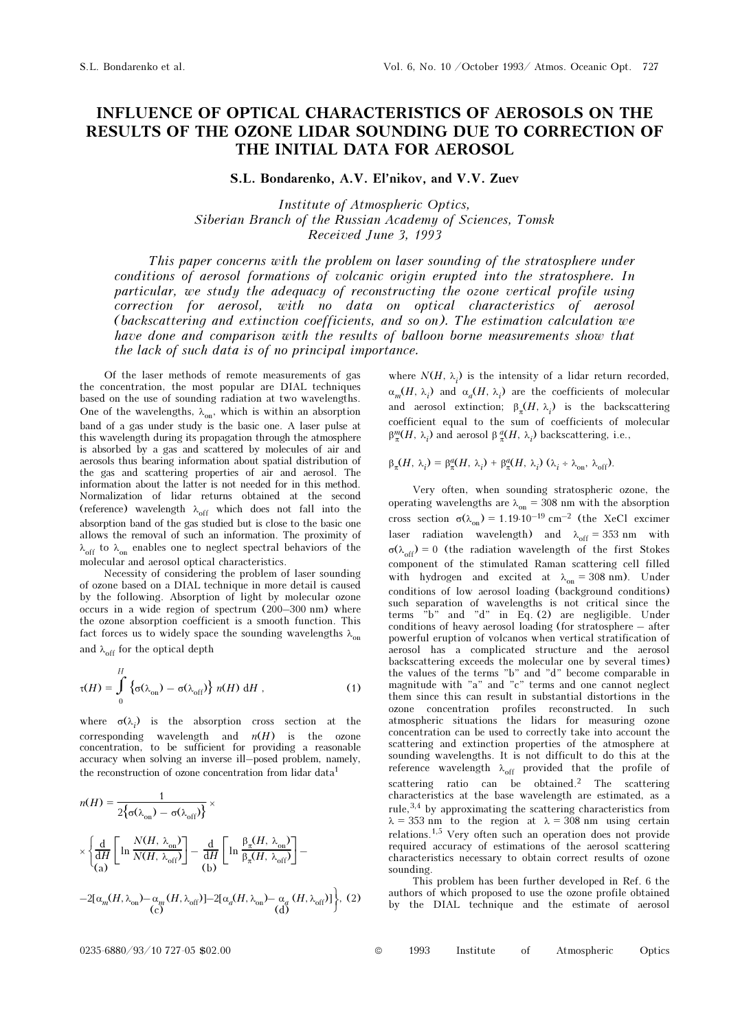## INFLUENCE OF OPTICAL CHARACTERISTICS OF AEROSOLS ON THE RESULTS OF THE OZONE LIDAR SOUNDING DUE TO CORRECTION OF THE INITIAL DATA FOR AEROSOL

S.L. Bondarenko, A.V. El'nikov, and V.V. Zuev

Institute of Atmospheric Optics, Siberian Branch of the Russian Academy of Sciences, Tomsk Received June 3, 1993

This paper concerns with the problem on laser sounding of the stratosphere under conditions of aerosol formations of volcanic origin erupted into the stratosphere. In particular, we study the adequacy of reconstructing the ozone vertical profile using correction for aerosol, with no data on optical characteristics of aerosol (backscattering and extinction coefficients, and so on). The estimation calculation we have done and comparison with the results of balloon borne measurements show that the lack of such data is of no principal importance.

Of the laser methods of remote measurements of gas the concentration, the most popular are DIAL techniques based on the use of sounding radiation at two wavelengths. One of the wavelengths,  $\lambda_{on}$ , which is within an absorption band of a gas under study is the basic one. A laser pulse at this wavelength during its propagation through the atmosphere is absorbed by a gas and scattered by molecules of air and aerosols thus bearing information about spatial distribution of the gas and scattering properties of air and aerosol. The information about the latter is not needed for in this method. Normalization of lidar returns obtained at the second (reference) wavelength  $\lambda_{off}$  which does not fall into the absorption band of the gas studied but is close to the basic one allows the removal of such an information. The proximity of  $\lambda_{\text{off}}$  to  $\lambda_{\text{on}}$  enables one to neglect spectral behaviors of the molecular and aerosol optical characteristics.

Necessity of considering the problem of laser sounding of ozone based on a DIAL technique in more detail is caused by the following. Absorption of light by molecular ozone occurs in a wide region of spectrum (200–300 nm) where the ozone absorption coefficient is a smooth function. This fact forces us to widely space the sounding wavelengths  $\lambda_{on}$ and  $\lambda_{\text{off}}$  for the optical depth

$$
\tau(H) = \int_{0}^{H} \left\{ \sigma(\lambda_{\text{on}}) - \sigma(\lambda_{\text{off}}) \right\} n(H) \, \mathrm{d}H \;, \tag{1}
$$

where  $\sigma(\lambda_i)$  is the absorption cross section at the corresponding wavelength and  $n(H)$  is the ozone concentration, to be sufficient for providing a reasonable accuracy when solving an inverse ill–posed problem, namely, the reconstruction of ozone concentration from lidar data<sup>1</sup>

$$
n(H) = \frac{1}{2\{\sigma(\lambda_{on}) - \sigma(\lambda_{off})\}} \times
$$
  
\n
$$
\times \left\{\frac{d}{dH} \left[\ln \frac{N(H, \lambda_{on})}{N(H, \lambda_{off})}\right] - \frac{d}{dH} \left[\ln \frac{\beta_{\pi}(H, \lambda_{on})}{\beta_{\pi}(H, \lambda_{off})}\right] -
$$
  
\n
$$
-2[\alpha_{m}(H, \lambda_{on}) - \alpha_{m}(H, \lambda_{off})] - 2[\alpha_{d}(H, \lambda_{on}) - \alpha_{d}(H, \lambda_{off})]\right\}, (2)
$$
  
\n(c)

where  $N(H, \lambda_i)$  is the intensity of a lidar return recorded,  $\alpha_m(H, \lambda_i)$  and  $\alpha_a(H, \lambda_i)$  are the coefficients of molecular and aerosol extinction;  $\beta_{\pi}(H, \lambda_i)$  is the backscattering coefficient equal to the sum of coefficients of molecular  $β_{\pi}^{m}(H, \lambda_i)$  and aerosol β $_{\pi}^{a}(H, \lambda_i)$  backscattering, i.e.,

$$
\beta_{\pi}(H, \lambda_i) = \beta_{\pi}^d(H, \lambda_i) + \beta_{\pi}^d(H, \lambda_i) (\lambda_i + \lambda_{\text{on}}, \lambda_{\text{off}}).
$$

Very often, when sounding stratospheric ozone, the operating wavelengths are  $\lambda_{on} = 308$  nm with the absorption cross section  $\sigma(\lambda_{\text{on}}) = 1.19 \cdot 10^{-19} \text{ cm}^{-2}$  (the XeCl excimen laser radiation wavelength) and  $\lambda_{off} = 353$  nm with  $\sigma(\lambda_{off}) = 0$  (the radiation wavelength of the first Stokes component of the stimulated Raman scattering cell filled with hydrogen and excited at  $\lambda_{on} = 308$  nm). Under conditions of low aerosol loading (background conditions) such separation of wavelengths is not critical since the terms "b" and "d" in Eq. (2) are negligible. Under conditions of heavy aerosol loading (for stratosphere – after powerful eruption of volcanos when vertical stratification of aerosol has a complicated structure and the aerosol backscattering exceeds the molecular one by several times) the values of the terms "b" and "d" become comparable in magnitude with "a" and "c" terms and one cannot neglect them since this can result in substantial distortions in the ozone concentration profiles reconstructed. In such atmospheric situations the lidars for measuring ozone concentration can be used to correctly take into account the scattering and extinction properties of the atmosphere at sounding wavelengths. It is not difficult to do this at the reference wavelength  $\lambda_{off}$  provided that the profile of scattering ratio can be obtained.<sup>2</sup> The scattering characteristics at the base wavelength are estimated, as a rule,3,4 by approximating the scattering characteristics from  $\lambda = 353$  nm to the region at  $\lambda = 308$  nm using certain relations.1,5 Very often such an operation does not provide required accuracy of estimations of the aerosol scattering characteristics necessary to obtain correct results of ozone sounding.

This problem has been further developed in Ref. 6 the authors of which proposed to use the ozone profile obtained by the DIAL technique and the estimate of aerosol

0235-6880/93/10 727-05 \$02.00 © 1993 Institute of Atmospheric Optics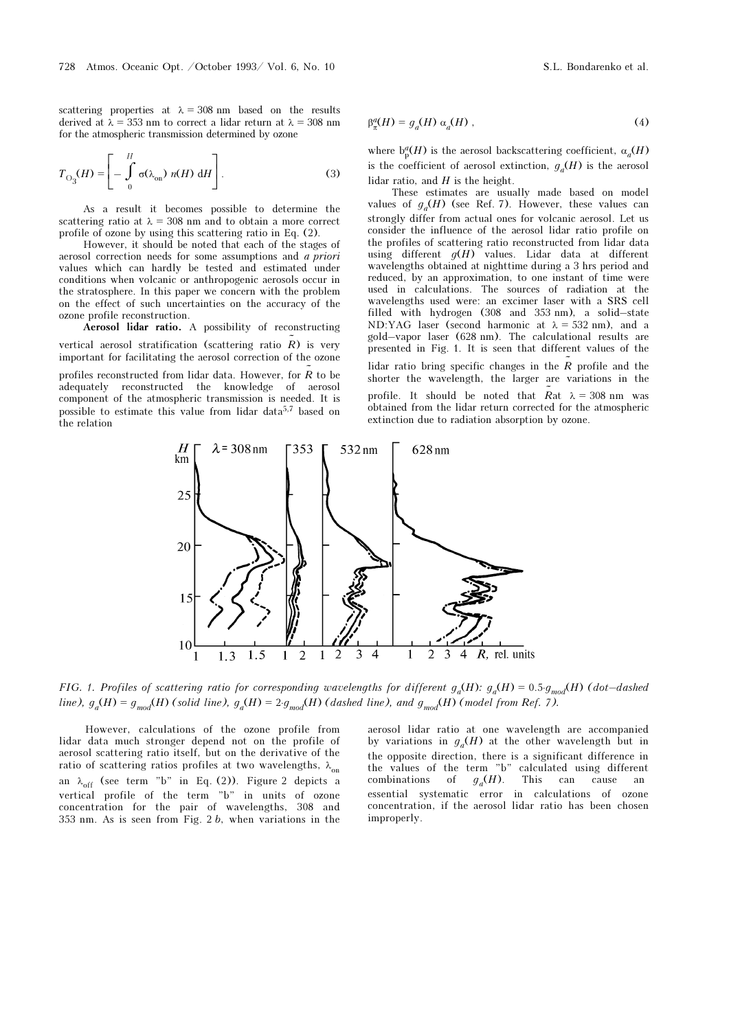scattering properties at  $\lambda = 308$  nm based on the results derived at  $\lambda = 353$  nm to correct a lidar return at  $\lambda = 308$  nm for the atmospheric transmission determined by ozone

$$
T_{\mathcal{O}_3}(H) = \left[ - \int_0^H \sigma(\lambda_{\mathcal{O}_1}) \ n(H) \ dH \right]. \tag{3}
$$

As a result it becomes possible to determine the scattering ratio at  $\lambda = 308$  nm and to obtain a more correct profile of ozone by using this scattering ratio in Eq. (2).

However, it should be noted that each of the stages of aerosol correction needs for some assumptions and a priori values which can hardly be tested and estimated under conditions when volcanic or anthropogenic aerosols occur in the stratosphere. In this paper we concern with the problem on the effect of such uncertainties on the accuracy of the ozone profile reconstruction.

Aerosol lidar ratio. A possibility of reconstructing vertical aerosol stratification (scattering ratio  $\tilde{R}$ ) is very important for facilitating the aerosol correction of the ozone

profiles reconstructed from lidar data. However, for  $\tilde{R}$  to be adequately reconstructed the knowledge of aerosol component of the atmospheric transmission is needed. It is possible to estimate this value from lidar data<sup>5,7</sup> based on the relation

$$
\beta_{\pi}^{a}(H) = g_{a}(H) \alpha_{a}(H) , \qquad (4)
$$

where  $b_0^d(H)$  is the aerosol backscattering coefficient,  $\alpha_d(H)$ is the coefficient of aerosol extinction,  $g_a(H)$  is the aerosol lidar ratio, and  $H$  is the height.

These estimates are usually made based on model values of  $g_a(H)$  (see Ref. 7). However, these values can strongly differ from actual ones for volcanic aerosol. Let us consider the influence of the aerosol lidar ratio profile on the profiles of scattering ratio reconstructed from lidar data using different  $q(H)$  values. Lidar data at different wavelengths obtained at nighttime during a 3 hrs period and reduced, by an approximation, to one instant of time were used in calculations. The sources of radiation at the wavelengths used were: an excimer laser with a SRS cell filled with hydrogen (308 and 353 nm), a solid–state ND:YAG laser (second harmonic at  $\lambda = 532$  nm), and a gold–vapor laser (628 nm). The calculational results are presented in Fig. 1. It is seen that different values of the lidar ratio bring specific changes in the  $\tilde{R}$  profile and the shorter the wavelength, the larger are variations in the

profile. It should be noted that  $\tilde{R}$  at  $\lambda = 308$  nm was obtained from the lidar return corrected for the atmospheric extinction due to radiation absorption by ozone.



FIG. 1. Profiles of scattering ratio for corresponding wavelengths for different  $g_a(H)$ :  $g_a(H) = 0.5·g_{mod}(H)$  (dot–dashed line),  $g_a(H) = g_{mod}(H)$  (solid line),  $g_a(H) = 2 \cdot g_{mod}(H)$  (dashed line), and  $g_{mod}(H)$  (model from Ref. 7).

However, calculations of the ozone profile from lidar data much stronger depend not on the profile of aerosol scattering ratio itself, but on the derivative of the ratio of scattering ratios profiles at two wavelengths,  $\lambda_{on}$ an  $\lambda_{off}$  (see term "b" in Eq. (2)). Figure 2 depicts a vertical profile of the term "b" in units of ozone concentration for the pair of wavelengths, 308 and 353 nm. As is seen from Fig. 2 b, when variations in the

aerosol lidar ratio at one wavelength are accompanied by variations in  $g_a(H)$  at the other wavelength but in the opposite direction, there is a significant difference in the values of the term "b" calculated using different combinations of  $g_a(H)$ . This can cause an essential systematic error in calculations of ozone concentration, if the aerosol lidar ratio has been chosen improperly.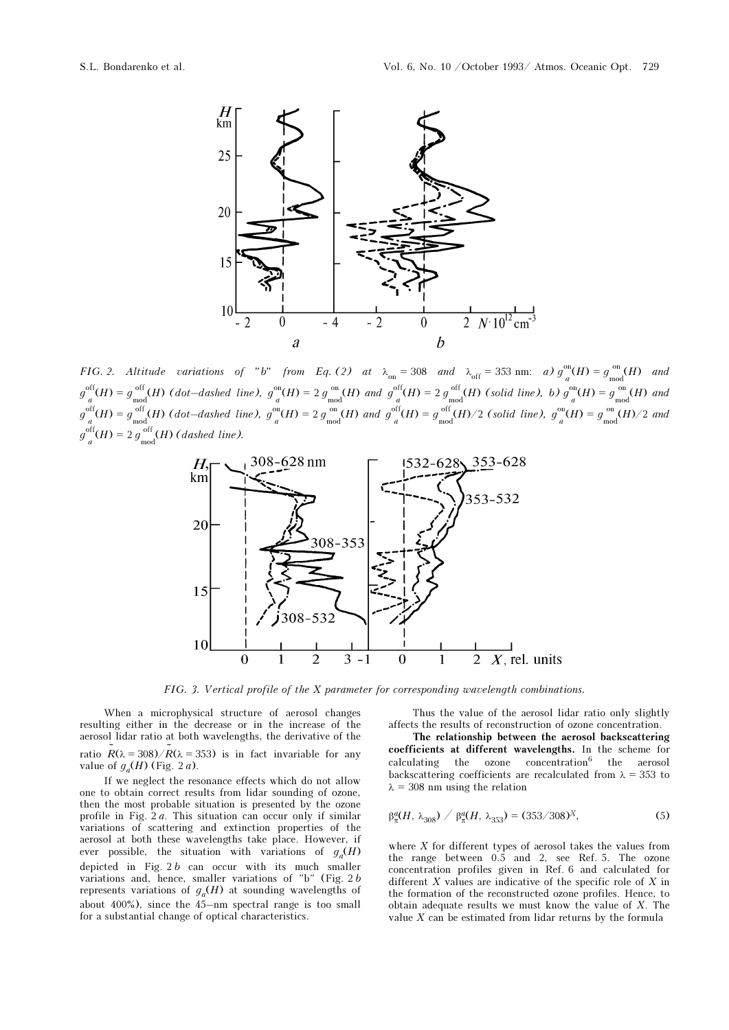

FIG. 2. Altitude variations of "b" from Eq. (2) at  $\lambda_{on} = 308$  and  $\lambda_{off} = 353$  nm: a)  $g_{a}^{on}(H) = g_{mod}^{on}(H)$  and  $g_{a}^{\text{off}}(H) = g_{\text{mod}}^{\text{off}}(H)$  (dot-dashed line),  $g_{a}^{\text{on}}(H) = 2 g_{\text{mod}}^{\text{on}}(H)$  and  $g_{a}^{\text{off}}(H) = 2 g_{\text{mod}}^{\text{off}}(H)$  (solid line), b)  $g_{a}^{\text{on}}(H) = g_{\text{mod}}^{\text{on}}(H)$  and  $g_{a}^{\text{off}}(H) = g_{\text{mod}}^{\text{off}}(H)$  (dot-dashed line),  $g_{a}^{\text{on}}(H) = 2 g_{\text{mod}}^{\text{on}}(H)$  and  $g_{a}^{\text{off}}(H) = g_{\text{mod}}^{\text{off}}(H)/2$  (solid line),  $g_{a}^{\text{on}}(H) = g_{\text{mod}}^{\text{on}}(H)/2$  and  $g_{\substack{a}}^{\text{off}}(H) = 2 g_{\substack{mod \\ \text{mod}}}^{\text{off}}(H)$  (dashed line).



FIG. 3. Vertical profile of the X parameter for corresponding wavelength combinations.

When a microphysical structure of aerosol changes resulting either in the decrease or in the increase of the aerosol lidar ratio at both wavelengths, the derivative of the ratio  $R(\lambda = 308)/R(\lambda = 353)$  is in fact invariable for any value of  $g_d(H)$  (Fig. 2a).

If we neglect the resonance effects which do not allow one to obtain correct results from lidar sounding of ozone, then the most probable situation is presented by the ozone profile in Fig.  $2a$ . This situation can occur only if similar variations of scattering and extinction properties of the aerosol at both these wavelengths take place. However, if ever possible, the situation with variations of  $q_a(H)$ depicted in Fig.  $2 b$  can occur with its much smaller variations and, hence, smaller variations of "b" (Fig. 2 b represents variations of  $g_a(H)$  at sounding wavelengths of about  $400\%$ ), since the  $45$ -nm spectral range is too small for a substantial change of optical characteristics.

Thus the value of the aerosol lidar ratio only slightly affects the results of reconstruction of ozone concentration.

The relationship between the aerosol backscattering coefficients at different wavelengths. In the scheme for  $calculating$  the ozone concentration<sup>6</sup> the aerosol backscattering coefficients are recalculated from  $\lambda = 353$  to  $\lambda = 308$  nm using the relation

$$
\beta_{\pi}^{a}(H, \lambda_{308}) / \beta_{\pi}^{a}(H, \lambda_{353}) = (353/308)^{X}, \qquad (5)
$$

where  $X$  for different types of aerosol takes the values from the range between 0.5 and 2, see Ref. 5. The ozone concentration profiles given in Ref. 6 and calculated for different  $X$  values are indicative of the specific role of  $X$  in the formation of the reconstructed ozone profiles. Hence, to obtain adequate results we must know the value of X. The value  $X$  can be estimated from lidar returns by the formula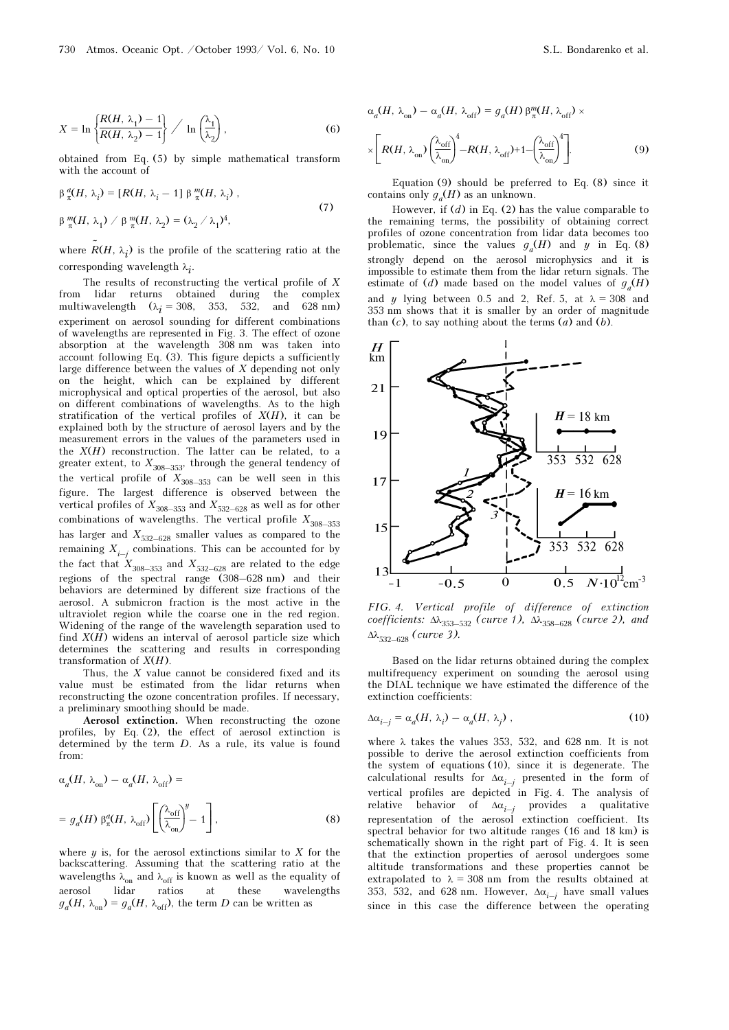$$
X = \ln \left\{ \frac{R(H, \lambda_1) - 1}{R(H, \lambda_2) - 1} \right\} / \ln \left( \frac{\lambda_1}{\lambda_2} \right),
$$
 (6)

obtained from Eq. (5) by simple mathematical transform with the account of

$$
\beta_{\pi}^{\alpha}(H, \lambda_i) = [R(H, \lambda_i - 1] \beta_{\pi}^{\mathfrak{m}}(H, \lambda_i),
$$
  
\n
$$
\beta_{\pi}^{\mathfrak{m}}(H, \lambda_1) \ / \beta_{\pi}^{\mathfrak{m}}(H, \lambda_2) = (\lambda_2 / \lambda_1)^4,
$$
\n(7)

where  $R(H, \lambda_i)$  is the profile of the scattering ratio at the corresponding wavelength  $\lambda_i$ .

The results of reconstructing the vertical profile of X from lidar returns obtained during the complex multiwavelength  $(\lambda_i = 308, 353, 532, \text{ and } 628 \text{ nm})$ experiment on aerosol sounding for different combinations of wavelengths are represented in Fig. 3. The effect of ozone absorption at the wavelength 308 nm was taken into account following Eq. (3). This figure depicts a sufficiently large difference between the values of X depending not only on the height, which can be explained by different microphysical and optical properties of the aerosol, but also on different combinations of wavelengths. As to the high stratification of the vertical profiles of  $X(H)$ , it can be explained both by the structure of aerosol layers and by the measurement errors in the values of the parameters used in the  $X(H)$  reconstruction. The latter can be related, to a greater extent, to  $X_{308-353}$ , through the general tendency of the vertical profile of  $X_{308-353}$  can be well seen in this figure. The largest difference is observed between the vertical profiles of  $X_{308-353}$  and  $X_{532-628}$  as well as for other combinations of wavelengths. The vertical profile  $X_{308-353}$ has larger and  $X_{\rm 532-628}$  smaller values as compared to the remaining  $X_{i-i}$  combinations. This can be accounted for by the fact that  $X_{308-353}$  and  $X_{532-628}$  are related to the edge regions of the spectral range (308–628 nm) and their behaviors are determined by different size fractions of the aerosol. A submicron fraction is the most active in the ultraviolet region while the coarse one in the red region. Widening of the range of the wavelength separation used to find  $X(H)$  widens an interval of aerosol particle size which determines the scattering and results in corresponding transformation of  $X(H)$ .

Thus, the X value cannot be considered fixed and its value must be estimated from the lidar returns when reconstructing the ozone concentration profiles. If necessary, a preliminary smoothing should be made.

Aerosol extinction. When reconstructing the ozone profiles, by Eq. (2), the effect of aerosol extinction is determined by the term D. As a rule, its value is found from:

$$
\alpha_a(H, \lambda_{on}) - \alpha_a(H, \lambda_{off}) =
$$
  
=  $g_a(H) \beta_{\pi}^a(H, \lambda_{off}) \left[ \left( \frac{\lambda_{off}}{\lambda_{on}} \right)^y - 1 \right],$  (8)

where  $y$  is, for the aerosol extinctions similar to  $X$  for the backscattering. Assuming that the scattering ratio at the wavelengths  $\lambda_{\rm on}$  and  $\lambda_{\rm off}$  is known as well as the equality of aerosol lidar ratios at these wavelengths  $g_a(H, \lambda_{\text{on}}) = g_a(H, \lambda_{\text{off}})$ , the term D can be written as

$$
\alpha_a(H, \lambda_{\rm on}) - \alpha_a(H, \lambda_{\rm off}) = g_a(H) \beta_{\pi}^m(H, \lambda_{\rm off}) \times
$$
  

$$
\times \left[ R(H, \lambda_{\rm on}) \left( \frac{\lambda_{\rm off}}{\lambda_{\rm on}} \right)^4 - R(H, \lambda_{\rm off}) + 1 - \left( \frac{\lambda_{\rm off}}{\lambda_{\rm on}} \right)^4 \right].
$$
 (9)

Equation (9) should be preferred to Eq. (8) since it contains only  $g_a(H)$  as an unknown.

However, if  $(d)$  in Eq. (2) has the value comparable to the remaining terms, the possibility of obtaining correct profiles of ozone concentration from lidar data becomes too problematic, since the values  $g_a(H)$  and y in Eq. (8) strongly depend on the aerosol microphysics and it is impossible to estimate them from the lidar return signals. The estimate of (d) made based on the model values of  $g_a(H)$ and y lying between 0.5 and 2, Ref. 5, at  $\lambda = 308$  and 353 nm shows that it is smaller by an order of magnitude than  $(c)$ , to say nothing about the terms  $(a)$  and  $(b)$ .



FIG. 4. Vertical profile of difference of extinction coefficients:  $\Delta \lambda_{353-532}$  (curve 1),  $\Delta \lambda_{358-628}$  (curve 2), and  $Δλ$ <sub>532–628</sub> (curve 3).

Based on the lidar returns obtained during the complex multifrequency experiment on sounding the aerosol using the DIAL technique we have estimated the difference of the extinction coefficients:

$$
\Delta \alpha_{i-j} = \alpha_a (H, \lambda_i) - \alpha_a (H, \lambda_j) \tag{10}
$$

where  $\lambda$  takes the values 353, 532, and 628 nm. It is not possible to derive the aerosol extinction coefficients from the system of equations (10), since it is degenerate. The calculational results for  $\Delta \alpha_{i-j}$  presented in the form of vertical profiles are depicted in Fig. 4. The analysis of relative behavior of  $\Delta \alpha_{i-j}$  provides a qualitative representation of the aerosol extinction coefficient. Its spectral behavior for two altitude ranges (16 and 18 km) is schematically shown in the right part of Fig. 4. It is seen that the extinction properties of aerosol undergoes some altitude transformations and these properties cannot be extrapolated to  $\lambda = 308$  nm from the results obtained at 353, 532, and 628 nm. However,  $\Delta \alpha_{i-j}$  have small values since in this case the difference between the operating